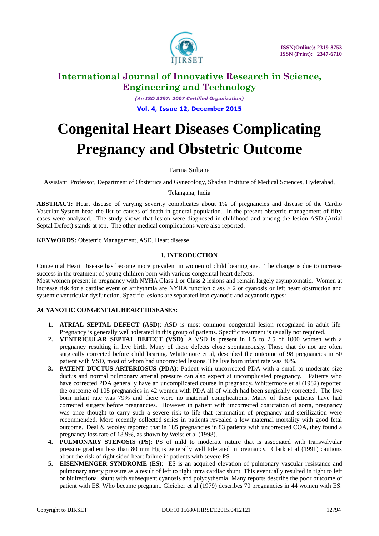

*(An ISO 3297: 2007 Certified Organization)*

**Vol. 4, Issue 12, December 2015**

# **Congenital Heart Diseases Complicating Pregnancy and Obstetric Outcome**

### Farina Sultana

Assistant Professor, Department of Obstetrics and Gynecology, Shadan Institute of Medical Sciences, Hyderabad,

Telangana, India

**ABSTRACT:** Heart disease of varying severity complicates about 1% of pregnancies and disease of the Cardio Vascular System head the list of causes of death in general population. In the present obstetric management of fifty cases were analyzed. The study shows that lesion were diagnosed in childhood and among the lesion ASD (Atrial Septal Defect) stands at top. The other medical complications were also reported.

**KEYWORDS:** Obstetric Management, ASD, Heart disease

### **I. INTRODUCTION**

Congenital Heart Disease has become more prevalent in women of child bearing age. The change is due to increase success in the treatment of young children born with various congenital heart defects.

Most women present in pregnancy with NYHA Class 1 or Class 2 lesions and remain largely asymptomatic. Women at increase risk for a cardiac event or arrhythmia are NYHA function class > 2 or cyanosis or left heart obstruction and systemic ventricular dysfunction. Specific lesions are separated into cyanotic and acyanotic types:

### **ACYANOTIC CONGENITAL HEART DISEASES:**

- **1. ATRIAL SEPTAL DEFECT (ASD)**: ASD is most common congenital lesion recognized in adult life. Pregnancy is generally well tolerated in this group of patients. Specific treatment is usually not required.
- **2. VENTRICULAR SEPTAL DEFECT (VSD)**: A VSD is present in 1.5 to 2.5 of 1000 women with a pregnancy resulting in live birth. Many of these defects close spontaneously. Those that do not are often surgically corrected before child bearing. Whittemore et al, described the outcome of 98 pregnancies in 50 patient with VSD, most of whom had uncorrected lesions. The live born infant rate was 80%.
- **3. PATENT DUCTUS ARTERIOSUS (PDA)**: Patient with uncorrected PDA with a small to moderate size ductus and normal pulmonary arterial pressure can also expect at uncomplicated pregnancy. Patients who have corrected PDA generally have an uncomplicated course in pregnancy. Whittermore et al (1982) reported the outcome of 105 pregnancies in 42 women with PDA all of which had been surgically corrected. The live born infant rate was 79% and there were no maternal complications. Many of these patients have had corrected surgery before pregnancies. However in patient with uncorrected coarctation of aorta, pregnancy was once thought to carry such a severe risk to life that termination of pregnancy and sterilization were recommended. More recently collected series in patients revealed a low maternal mortality with good fetal outcome. Deal & wooley reported that in 185 pregnancies in 83 patients with uncorrected COA, they found a pregnancy loss rate of 18.9%, as shown by Weiss et al (1998).
- **4. PULMONARY STENOSIS (PS)**: PS of mild to moderate nature that is associated with transvalvular pressure gradient less than 80 mm Hg is generally well tolerated in pregnancy. Clark et al (1991) cautions about the risk of right sided heart failure in patients with severe PS.
- **5. EISENMENGER SYNDROME (ES)**: ES is an acquired elevation of pulmonary vascular resistance and pulmonary artery pressure as a result of left to right intra cardiac shunt. This eventually resulted in right to left or bidirectional shunt with subsequent cyanosis and polycythemia. Many reports describe the poor outcome of patient with ES. Who became pregnant. Gleicher et al (1979) describes 70 pregnancies in 44 women with ES.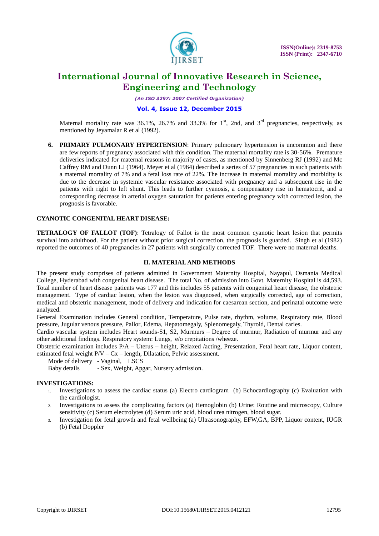

*(An ISO 3297: 2007 Certified Organization)*

### **Vol. 4, Issue 12, December 2015**

Maternal mortality rate was 36.1%, 26.7% and 33.3% for  $1<sup>st</sup>$ , 2nd, and  $3<sup>rd</sup>$  pregnancies, respectively, as mentioned by Jeyamalar R et al (1992).

**6. PRIMARY PULMONARY HYPERTENSION**: Primary pulmonary hypertension is uncommon and there are few reports of pregnancy associated with this condition. The maternal mortality rate is 30-56%. Premature deliveries indicated for maternal reasons in majority of cases, as mentioned by Sinnenberg RJ (1992) and Mc Caffrey RM and Dunn LJ (1964). Meyer et al (1964) described a series of 57 pregnancies in such patients with a maternal mortality of 7% and a fetal loss rate of 22%. The increase in maternal mortality and morbidity is due to the decrease in systemic vascular resistance associated with pregnancy and a subsequent rise in the patients with right to left shunt. This leads to further cyanosis, a compensatory rise in hematocrit, and a corresponding decrease in arterial oxygen saturation for patients entering pregnancy with corrected lesion, the prognosis is favorable.

### **CYANOTIC CONGENITAL HEART DISEASE:**

**TETRALOGY OF FALLOT (TOF)**: Tetralogy of Fallot is the most common cyanotic heart lesion that permits survival into adulthood. For the patient without prior surgical correction, the prognosis is guarded. Singh et al (1982) reported the outcomes of 40 pregnancies in 27 patients with surgically corrected TOF. There were no maternal deaths.

### **II. MATERIAL AND METHODS**

The present study comprises of patients admitted in Government Maternity Hospital, Nayapul, Osmania Medical College, Hyderabad with congenital heart disease. The total No. of admission into Govt. Maternity Hospital is 44,593. Total number of heart disease patients was 177 and this includes 55 patients with congenital heart disease, the obstetric management. Type of cardiac lesion, when the lesion was diagnosed, when surgically corrected, age of correction, medical and obstetric management, mode of delivery and indication for caesarean section, and perinatal outcome were analyzed.

General Examination includes General condition, Temperature, Pulse rate, rhythm, volume, Respiratory rate, Blood pressure, Jugular venous pressure, Pallor, Edema, Hepatomegaly, Splenomegaly, Thyroid, Dental caries.

Cardio vascular system includes Heart sounds-S1, S2, Murmurs – Degree of murmur, Radiation of murmur and any other additional findings. Respiratory system: Lungs, e/o crepitations /wheeze.

Obstetric examination includes P/A – Uterus – height, Relaxed /acting, Presentation, Fetal heart rate, Liquor content, estimated fetal weight  $P/V - Cx$  – length, Dilatation, Pelvic assessment.

Mode of delivery - Vaginal, LSCS

Baby details - Sex, Weight, Apgar, Nursery admission.

### **INVESTIGATIONS:**

- 1. Investigations to assess the cardiac status (a) Electro cardiogram (b) Echocardiography (c) Evaluation with the cardiologist.
- 2. Investigations to assess the complicating factors (a) Hemoglobin (b) Urine: Routine and microscopy, Culture sensitivity (c) Serum electrolytes (d) Serum uric acid, blood urea nitrogen, blood sugar.
- 3. Investigation for fetal growth and fetal wellbeing (a) Ultrasonography, EFW,GA, BPP, Liquor content, IUGR (b) Fetal Doppler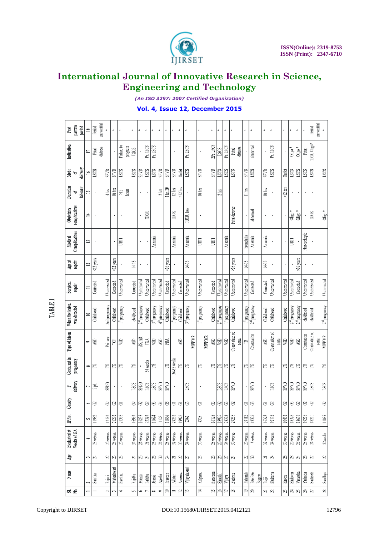

*(An ISO 3297: 2007 Certified Organization)*

### **Vol. 4, Issue 12, December 2015**

| $1b$ ost        | partma<br>period            | $\approx$            | Period                   | uneventiul |                  |                    |                                     |                  | $\mathfrak{t}$          | ä,                           | ä,                    |                            |                   | à.                      | Ħ.                   | ú,                          | ä                         |             | ż                      | ú,                 | ż               |                   |          |                           |                               | ä.                     | $\boldsymbol{u}$     |      |              |                                         |                                             |               | Period         | uneventiul |                                                                   |
|-----------------|-----------------------------|----------------------|--------------------------|------------|------------------|--------------------|-------------------------------------|------------------|-------------------------|------------------------------|-----------------------|----------------------------|-------------------|-------------------------|----------------------|-----------------------------|---------------------------|-------------|------------------------|--------------------|-----------------|-------------------|----------|---------------------------|-------------------------------|------------------------|----------------------|------|--------------|-----------------------------------------|---------------------------------------------|---------------|----------------|------------|-------------------------------------------------------------------|
| Indication      |                             | Ļ.                   | <b>Fetal</b>             | distress   |                  | $\mathbf{r}$       | Pailure to                          | progress<br>1903 |                         | Pr.TSCS<br>Pr. LSCS          |                       |                            |                   | $\blacksquare$          |                      | Pr. LSCS                    | $\,$                      |             | <b>ZPt LSCS</b>        | LSCS               | Pr LSCS         | Fetal             | distress |                           | abnormal                      |                        | Pr.TSCS              |      |              | $O\log^4$                               | Oligo <sup>*</sup>                          | Foar          | 11.GR, Oligo*  |            |                                                                   |
| Mude            | delivery<br>능               | $\leq$               | <b>ISCS</b>              |            | <b>U</b> ldS     | <b>GMS</b>         | <b>LSCS</b>                         | <b>ISCS</b>      | <b>UMS</b>              | <b>ISCS</b><br>SCS           |                       | <b>GMs</b>                 | <b>A</b> klS      | (IMdS)                  | Julet                | LSCS                        | <b>U</b> /dS              |             | <b>U</b> McIS          | <b>LSCS</b>        | LSCS            | LSCS              |          | <b>U</b> /dS              | <b>LSCS</b>                   | <b>U</b> /dS           | <b>ISCS</b>          |      | Outlet       | LSCS                                    | <b>TSCS</b>                                 | LSCS          | <b>LSCS</b>    |            | <b>ISCS</b>                                                       |
| Duration        | laboaur<br>đ                | 51                   |                          |            | $4 \, \text{ms}$ | it0 lins           | $\widetilde{\Xi}$                   | hours            |                         |                              |                       | $2 \text{ hrs}$            | $1 \text{ hr} 20$ | $12$ hrs                | $>12$ lirs           | $\bullet$                   | l0 lin                    |             |                        | $2 \, \mathrm{ms}$ |                 | $\bullet$         |          | $\stackrel{\pm}{=}$       | $\bullet$                     | i∬∬                    | $\,$                 |      | $>12$ hrs    |                                         | $\bullet$                                   |               | $\mathbf{r}$   |            |                                                                   |
| Obstetrics      | complications               | ⋣                    |                          |            | $\blacksquare$   | $\mathbf{u}$       |                                     |                  |                         | É                            |                       | $\blacksquare$             |                   | <b>EXER</b>             |                      | <b>IUGR, low</b>            | $\blacksquare$            |             |                        |                    |                 | Fetal distress    |          |                           | ahnormal                      |                        |                      |      |              | $O\frac{1}{2}$ or $\frac{1}{2}$         | ிழ்ற <sup>்</sup>                           |               | <b>TUGK</b>    |            | $\mathop{\mathrm{O}}\nolimits^*_{\mathop{\mathrm{B}}\nolimits}$ * |
| Medical         | Complications               | É                    |                          |            |                  | $\bullet$          | <b>URTI</b>                         |                  |                         |                              | Anaemia               |                            |                   | Anaemia                 |                      | Anaemia                     | LIST                      |             | LIKITI                 |                    | Anacmia         | $\blacksquare$    |          | <b>bronchilis</b>         | Anaemia                       | Anaemia                |                      |      |              | URTI                                    |                                             | Non-ischepic  |                |            |                                                                   |
|                 | Age at<br>repair            | 12                   | $12$ years               |            |                  | $< 12$ years       |                                     | $\frac{1}{2}$    |                         |                              |                       |                            | $>16$ years       |                         |                      | $14 - 16$                   |                           |             |                        |                    |                 | $>16$ years       |          | 14.16                     |                               | 14-16                  |                      |      |              |                                         | >16 years                                   |               |                |            |                                                                   |
| Surgical        | repair                      | $\equiv$             | Corrected                |            | Uncorrected      | Corrected          | Uncorrected                         | Corrected        | Uncorrected             | Uncorrected                  | Uncorrected           | Uncorrected                | Corrected         | Uncorrected             | Corrected            | Uncorrected                 | Uncorrected               |             | Corrected              | Uncorrected        | Uncorrected     | Uncorrected       |          | Uncorrected               | Corrected                     | Corrected              | Uncorrected          |      | Uncorrected  | Uncorrected                             | Corrected                                   | Uncorrected   | Uncorrected    |            | Uncorrected                                                       |
| When the lesion | was detected                | $\equiv$             | Childhood                |            | 2nd pregnancy    | Childhood          | $\mathbb{I}^{\mathrm{a}}$ pregnamcy | childhood        | $210$ р $\alpha$ дладсу | Childhood                    | <sup>1</sup> premancy | $4$ <sup>3</sup> pregnancy | Childhood         | <sup>14</sup> pregnancy | Clindhood            | $3^{\mathcal{A}}$ pregnancy | 1 <sup>st</sup> pregnancy |             | Childhood              | $24$ pregnamey     | pregnancy<br>ī. | Childhood         |          | 1 <sup>st</sup> pregnancy | $\overline{2^{14}}$ pregnancy | Childhood              | Childhood            |      | Childhood    | $2$ <sup><math>n</math></sup> pregnancy | $2th$ pregnancy                             | childhood     | childhood      |            | $2nt$ pregnancy                                                   |
| lype of leison  |                             | $\overline{a}$       | SD <sub>1</sub>          |            | Primary          | ÏÖÏ                | <b>SP</b>                           | Ş                | AS.AR                   | $\tilde{\mathcal{C}}$<br>VSD |                       | $\overline{3}$             | ÞΙλ               |                         | SD <sub>1</sub>      | MVP MR                      |                           | <b>NUMB</b> | $\mathop{\mathrm{SD}}$ | <b>SD</b>          | VSD             | Coarctation of    | aona     | Ĕ                         | Coarclation                   | $\overline{\text{SS}}$ | Coarciation of       | aona | VSD          | VSD                                     | ASD                                         | Coarctation   | Coarcuation of | aona       | <b>MVP MR</b>                                                     |
| Gastalant in    | pregnancy                   | œ                    | E                        |            | Σ                | $\simeq$           | ΙE                                  | P                |                         | 31 weeks                     | $\Xi$                 | $\bullet$                  | $\subseteq$       | 14.35 weeks             | 티                    | $\square$                   | N                         |             | 空                      | $\Xi$              | 空               | LS                |          | Έ                         | IΞ                            | <b>E R</b>             |                      |      | $\Xi$        | $\Xi$                                   | $\Xi$                                       | $\Xi$         | Ιg             |            | Σ                                                                 |
| $\rightarrow$   | delivery                    |                      | 2p1                      |            | <b>CICLAS</b>    |                    | $\bullet$                           | SO <sub>S</sub>  | CIGES                   | <b>LSCS</b><br>SS            |                       | <b>GIAJS</b>               | <b>A</b> klS      |                         |                      | <b>LSCS</b>                 | $\blacksquare$            |             |                        | LSCS               | <b>LSCS</b>     | <b>CIAdS</b>      |          |                           | <b>SIVID</b>                  |                        | <b>ISCS</b>          |      | <b>SPVID</b> | <b>SPVD</b>                             | <b>SIVD</b>                                 | <b>GAdS</b>   | LSCS           |            | LSCS <sub>1</sub>                                                 |
| Gravity         |                             | ÷,                   | 욥                        |            |                  | 의협                 | ㅎ                                   |                  | 의용 의외의원은                |                              |                       |                            |                   |                         | lala                 |                             | ā                         |             |                        | alala              |                 | lS.               |          | ㅎ                         | B                             |                        | 리 용                  |      |              | 의원                                      | lଞାଞାଞ                                      |               |                |            | $\Xi$                                                             |
| L'No.           |                             | se.                  | 11982                    |            | 12192            | 21292              | 21396                               | 15992            | 16238<br>22392          |                              | 11624                 | $\Xi$                      | 11836             | 29232                   | 19926                | 262                         | 4328                      |             | 16128                  | 18929              | <b>28328</b>    | 29236             |          | 29112                     | 18326                         |                        | 16328                |      | 10432        | <b>I8326</b>                            | 18635                                       | 19216         | 18210          |            | 11095                                                             |
|                 | Evaluated at<br>Weeks of CA |                      | 28 weeks                 |            | 20 weeks         | 28 weeks           | 20 weeks                            | 34 works         | 24 weeks<br>28 weeks    |                              | 26 weeks              | 26 weeks                   | 28 weeks          | 32 weeks                | 30 weeks             | 34 weeks                    | 30 weeks                  |             | 28 weeks               | 20 works           | 34 weeks        | 30 weeks          |          | 20 weeks                  | It weeks                      |                        | 32 weeks<br>34 works |      | 30 weeks     | 20 weeks                                | $\frac{26 \text{ weeks}}{26 \text{ weeks}}$ | 28 weeks      | 24 weeks       |            | 32 weeks                                                          |
| ą               |                             | $\frac{1}{2}$        | 품                        |            |                  | ମା ଅ ଅ             |                                     | ₹                | おお                      |                              | $\approx$             | $\approx$                  | 품                 |                         | គ្នា $\frac{1}{2}$ គ |                             | S)                        |             | S,                     | $\frac{25}{20}$    |                 | $\overline{\sim}$ |          | εL                        | ≋                             |                        | ਨ ਨੇ                 |      | X            | S,                                      | $\mathbb{Z}$                                | 왕의            |                |            | S                                                                 |
| <b>Name</b>     |                             | $\mathbf{\tilde{z}}$ | Sunitha                  |            | Raijani          | <b>Vlaheshwari</b> | Savilha                             | Rajitha          | Manga<br>Lalilha        |                              | Jhansi                | Ayesha                     | Pravecr           | <b>Akhtar</b>           | Ameena               | Vijayalaxmi                 | Kalpana                   |             | Samccna                | <b>Shanthi</b>     | Vijaya          | Farbcon           |          | <b>Palmida</b>            | Bee Bee<br>Regim              | Ë                      | Shabana              |      | Shoba        | Shahoor                                 | Vasantha                                    | Yashoda       | Susheela       |            | Sandhya                                                           |
|                 | ದ ಕೆ                        |                      | $\overline{\phantom{0}}$ |            | ò,               | $\mathbf{r}$       | $\overline{ }$                      | ω,               | م ت                     |                              | ∝                     | $\bullet$                  | $\cong$           | $=$                     | ᅼ                    | $\mathbb{D}$                | $\overline{z}$            |             | 12                     | Ì,                 | 二               | $\approx$         |          | $\approx$                 | $\widehat{\pi}$               | $\Xi$ $\approx$        |                      |      | 23           | $\mathbb{R}^2$                          | $\approx$                                   | $\frac{1}{2}$ |                |            | $\approx$                                                         |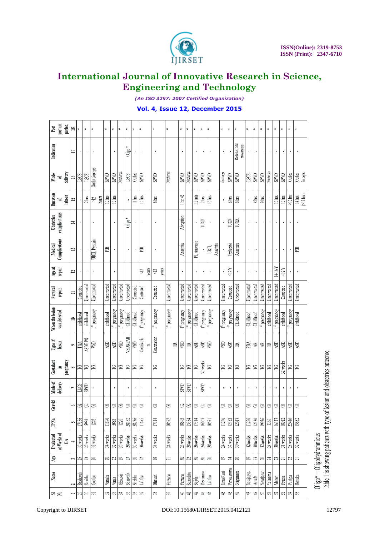

*(An ISO 3297: 2007 Certified Organization)*

### **Vol. 4, Issue 12, December 2015**

| Post            | partum                   | period    | $\mathbb{S}$  | ä           | $\vec{u}$         | ä,                                | ģ.                      | t,                                          | ģ.                  | $\sharp$           | š,                   | ¢                            | ä                    | g.                     | t,               | ä,          | t,               | ä,                           | ¢,                        | s.                       | $\boldsymbol{z}$                   | ă,                           | ä                     | ¢                   | s,                                                                                    | s.             | s,                          | t,              | š,                      | ģ,                                     |         |
|-----------------|--------------------------|-----------|---------------|-------------|-------------------|-----------------------------------|-------------------------|---------------------------------------------|---------------------|--------------------|----------------------|------------------------------|----------------------|------------------------|------------------|-------------|------------------|------------------------------|---------------------------|--------------------------|------------------------------------|------------------------------|-----------------------|---------------------|---------------------------------------------------------------------------------------|----------------|-----------------------------|-----------------|-------------------------|----------------------------------------|---------|
| Indication      |                          |           | $\Box$        |             |                   |                                   |                         |                                             |                     | $0^{\prime}$ ieo   |                      | $\blacksquare$               | $\blacksquare$       |                        |                  |             |                  |                              |                           |                          |                                    | Reduced retal<br>movements   |                       |                     |                                                                                       |                |                             |                 |                         |                                        |         |
| Mode            | $\mathbf{a}$             | delivery  | $\frac{1}{2}$ | <b>ISCS</b> | ISCS              | Outlet forceps                    | <b>GIVID</b>            | <b>GMS</b>                                  | Discharge           | <b>SCS</b>         | Outlet               | <b>GMdS</b>                  | <b>LIARS</b>         | Discharge              | <b>UMS</b>       | Discharge   | <b>GMR</b>       | <b>CIVES</b>                 | <b>GMdS</b>               | discharge                | <b>CINAS</b>                       | <b>TIARS</b>                 | <b>LSCS</b>           | <b>UMS</b>          | <b>GMS</b>                                                                            | Discharge      | SPVI)                       | <b>GMR</b>      | Outlet                  | Oullet                                 | lorueps |
| Duration        | $\tilde{a}$              | labour    | 12            |             | $2 \text{ hrs}$   | hours<br>$\overleftrightarrow{ }$ | $10 \text{ hrs}$        | 10 hrs                                      |                     |                    | $\stackrel{\leq}{=}$ | to his                       | $8 \text{ hrs}$      |                        | 1 hr. 45         |             | $12 \text{ m/s}$ | $2 \text{ hrs}$              | to his                    |                          | $\frac{8}{3}$ hrs                  | $6 \, \text{ht}$             |                       | 8 hrs               | 9 lit's                                                                               |                | t0 hrs                      | to his          | $>12$ hrs               | $\frac{14 \text{ hrs}}{2 \text{ hrs}}$ |         |
| Obstetrics      | complications            |           | Ħ             |             |                   | $\bullet$                         |                         |                                             |                     | olian<br>Ölü       |                      | $\blacksquare$               |                      |                        | <b>Abruption</b> |             |                  | $\frac{1}{2}$                |                           |                          | $\mathbb{L} \mathbb{G} \mathbb{R}$ | 电组                           | $\blacksquare$        |                     |                                                                                       |                |                             |                 |                         |                                        |         |
| Medical         | Complications            |           | ⋍             |             |                   | <b>URIL</b> Pyrexia               | Ξ                       |                                             |                     | $\mathbf{r}$       |                      | 巨                            | $\blacksquare$       |                        | Anaemia          |             | PI, Anaemia      |                              | Апастія<br>UKII,          |                          | <b>Epiloptic</b>                   | Anacmia                      | $\bullet$             | $\bullet$           | $\mathbf{u}$ .                                                                        | $\mathbf{u}$   | $\mathbf{r}$                |                 |                         | 言                                      |         |
|                 | Aye at<br>repair         |           | 穹             |             | $\blacksquare$    | $\blacksquare$                    |                         |                                             |                     |                    |                      | yuny<br>$\frac{1}{\sqrt{2}}$ | vears<br>$\tilde{a}$ |                        | $\blacksquare$   |             | $\blacksquare$   |                              | i,                        |                          | $\gamma$                           | $\blacksquare$               |                       |                     |                                                                                       |                | 146Y                        | $\frac{12}{12}$ |                         |                                        |         |
| Surgical        | repair                   |           | $\equiv$      | Corneued    | Uncorrected       | Uncorrected                       | Uncorrected             | Uncorrected                                 | Uncorrected         | <b>L'nonrected</b> | Conected             | Corrected                    | Cornetted            | Uncorrected            | Uncorrected      | Uncorrected | Uncorrected      | Uncorrected                  | Uncorrected               | Uncorrected              | Corrected                          | <b>L</b> incorrected         | Uncorrected           | Uncorrected         | Uncorrected                                                                           | Uncorrected    | Uncorrected                 | Corrected       | Uncorrected             | Uncorrected                            |         |
| When the lesion | was detected             |           | $\equiv$      | childhood   | childhood         | programey                         | childhood               | l <sup>st</sup> pregnancy                   | pregnancy           | Childhood          | Childhood            | l <sup>3</sup> pregnancy     | programey<br>ั⊣      | pregnancy<br>$\bar{z}$ | l" pregnancy     | pregnancy   | Childhood        | i pregnancy                  | 1 <sup>st</sup> pregnancy | l <sup>3</sup> pregnancy | l <sup>4</sup> pregnancy           | Childhood                    | Childhood             | Childhood           | 1 <sup>st</sup> pregnancy                                                             | childhood      | l <sup>st</sup> pregnancy   | childhood       | <sup>14</sup> pregnancy | childhood                              |         |
|                 | Type of<br>Leison        |           | $\bullet$     | Ľ           | ASDE PS           | I                                 | ASD                     | $\wedge$ SI)                                | USV                 | VSD&PAII           | VSD                  | Conriatriu<br>Ε              | Coarctation          | ≅                      | VSI)             | ≅           | <b>GN</b>        |                              | 13                        | ΓŠ                       | AŞD                                | ¥                            | <b>FOR</b>            | ≋                   | $\widetilde{\asymp}$                                                                  | $\cong$        | $\lambda_{\rm SD}^{\rm SD}$ | $\lesssim$      | QW                      | 鄔                                      |         |
| Gastalant       | 5                        | pregnancy | œ             | 吕           | 의의                |                                   |                         | Ξ                                           | $\cong$             | Ξ                  | Ε                    | Ξ                            | 입                    |                        | Ξ                | $\subseteq$ | Ξ                | 32 weeks                     | Ξ                         |                          | <b>A</b><br>R                      | $\Xi$                        |                       | 의의                  | $\mathbb{R}$                                                                          | C)             | $\Xi$                       | 32 weeks        | Ξ                       | $\simeq$                               |         |
| Mode of         | delivery                 |           |               | <b>SSL</b>  | <b>GN4S</b>       |                                   |                         | $\blacksquare$                              |                     | $\blacksquare$     |                      | $\mathbf{I}$                 | $\mathbf{r}$         |                        | <b>GMS</b>       | <b>SIND</b> |                  | <b>CIAGS</b>                 | $\mathbf{I}$              |                          | $\blacksquare$                     |                              | $\blacksquare$        |                     | ٠                                                                                     | $\blacksquare$ | $\mathbf{I}$                |                 | $\blacksquare$          |                                        |         |
| Gravid          |                          |           |               |             | 희의의               |                                   | $\overline{\mathbb{G}}$ |                                             | 히히                  |                    | 히                    | $\overline{\circ}$           | $\overline{\circ}$   | $\overline{5}$         |                  | 려외의의의       |                  |                              |                           |                          | ට ප                                | 5                            | $\overline{\text{C}}$ | $\overline{\sigma}$ | 리히리의                                                                                  |                |                             |                 | $\overline{\mathbb{C}}$ | E                                      |         |
| $P$ No.         |                          |           | in.           | 17186       | 5993              | 1202                              | 11890                   |                                             | $\frac{5883}{1220}$ | 28162              | 28236                | 11695                        | 1711                 | 10572                  | 18695            | 15384       | 17314            |                              | 160071                    | 11270                    | 12183                              | 12017                        | 11270                 |                     | $\frac{8}{2}$ $\frac{8}{2}$ $\frac{8}{2}$ $\frac{8}{2}$ $\frac{15}{2}$ $\frac{82}{2}$ |                |                             |                 | 22416                   | 15652                                  |         |
|                 | Evaluated<br>at Weeks of | ే         |               | 30 weeks    | 20 weeks          | $32$ weeks                        | 34 weeks                | $\frac{32 \text{ weeks}}{30 \text{ weeks}}$ |                     | <b>Z</b> kweeks    |                      | 32 weeks                     | 34 weeks             | 24 weeks               | 26 weeks         | 28wccks     | 26weeks          | 24weeks                      | <b>Z</b> kweeks           |                          | 24 weeks<br>32 weeks               | 30 weeks                     | 32 works              | <b>3Dweeks</b>      | 32weeks                                                                               | $28$ weeks     | 30 <sub>weeks</sub>         | 31 weeks        | 28 weeks                | 32 weeks                               |         |
| ą               |                          |           |               |             | ∾⊠ ଯ∣ଞ            |                                   |                         | ଯାଆ≏ା                                       |                     |                    | ន ភ $\vert$ ន        |                              | $\approx$            | 21                     |                  | alalalala   |                  |                              |                           |                          | ≘ 콩                                | $\approx$                    |                       |                     | 의자 이 지하지                                                                              |                |                             |                 | 퇴통                      |                                        |         |
| Name            |                          |           |               | Rasheeda    | Sunitha           | $Goc$ lla                         | Vimala                  | Vimla                                       | Ghousia             | Shareth            | Shabha               | Lalitha                      | Bhavat               | Farzana                | <b>Farzana</b>   | Sunalata    | Sajida           | $D$ evanum                   | Lalilha                   | Urna Rani                | Parvatamma                         | Nagamani                     | Sovjanya              | Arccfa              | Noorjahan                                                                             | Yelamma        | Vielier                     | Fouzia          | Pusina                  | Renuka                                 |         |
|                 | ದ ಸೆ                     |           |               |             | $ z  \approx  z $ |                                   |                         | 의원물                                         |                     | $\mathbb{S}^2$     | $\frac{56}{25}$      |                              | 38                   | θċ,                    | ₽                | ₹           | 47               | $\left  \frac{4}{3} \right $ | $\Rightarrow$             |                          | 45                                 | $\overleftrightarrow{\cdot}$ | $\approx$             | \$                  |                                                                                       |                | କ $ \pi $ ଜ $ $ ଜ $ $       |                 | $\mathbf{z}$            | $\approx$                              |         |